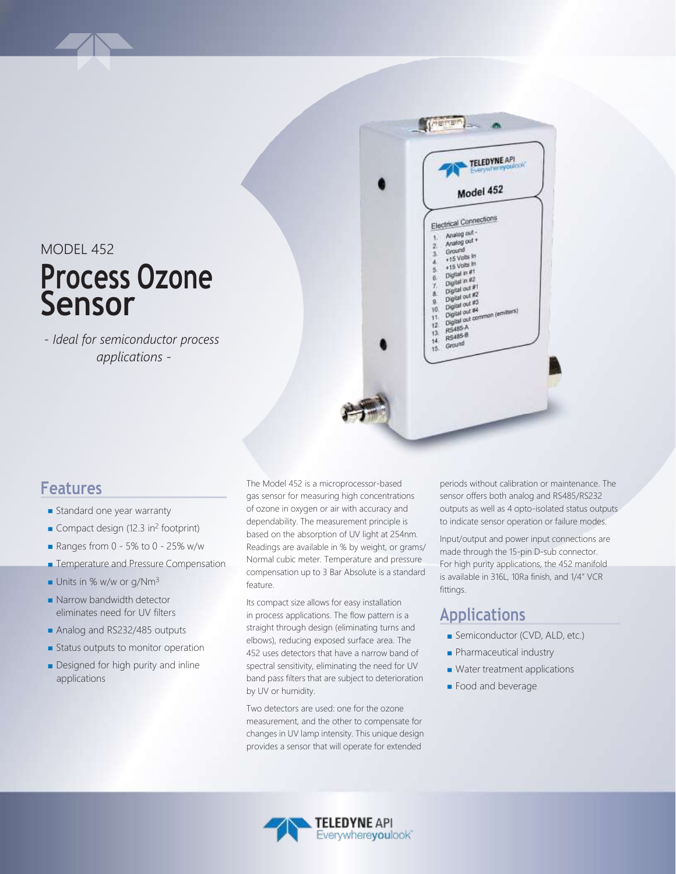MODEL 452

# **Process Ozone Sensor**

*- Ideal for semiconductor process applications -*



#### **Features**

- **Standard one year warranty**
- Compact design (12.3 in<sup>2</sup> footprint)
- Ranges from  $0 5\%$  to  $0 25\%$  w/w
- **Temperature and Pressure Compensation**
- Units in % w/w or g/Nm<sup>3</sup>
- Narrow bandwidth detector eliminates need for UV filters
- Analog and RS232/485 outputs
- **Status outputs to monitor operation**
- **Designed for high purity and inline** applications

The Model 452 is a microprocessor-based gas sensor for measuring high concentrations of ozone in oxygen or air with accuracy and dependability. The measurement principle is based on the absorption of UV light at 254nm. Readings are available in % by weight, or grams/ Normal cubic meter. Temperature and pressure compensation up to 3 Bar Absolute is a standard feature.

Its compact size allows for easy installation in process applications. The flow pattern is a straight through design (eliminating turns and elbows), reducing exposed surface area. The 452 uses detectors that have a narrow band of spectral sensitivity, eliminating the need for UV band pass filters that are subject to deterioration by UV or humidity.

Two detectors are used: one for the ozone measurement, and the other to compensate for changes in UV lamp intensity. This unique design provides a sensor that will operate for extended

periods without calibration or maintenance. The sensor offers both analog and RS485/RS232 outputs as well as 4 opto-isolated status outputs to indicate sensor operation or failure modes.

Input/output and power input connections are made through the 15-pin D-sub connector. For high purity applications, the 452 manifold is available in 316L, 10Ra finish, and 1/4" VCR fittings.

#### **Applications**

- Semiconductor (CVD, ALD, etc.)
- **Pharmaceutical industry**
- **Water treatment applications**
- **Food and beverage**